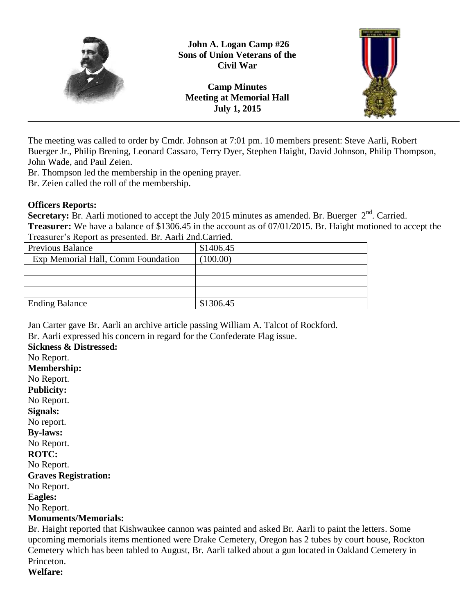

**John A. Logan Camp #26 Sons of Union Veterans of the Civil War**

**Camp Minutes Meeting at Memorial Hall July 1, 2015**



The meeting was called to order by Cmdr. Johnson at 7:01 pm. 10 members present: Steve Aarli, Robert Buerger Jr., Philip Brening, Leonard Cassaro, Terry Dyer, Stephen Haight, David Johnson, Philip Thompson, John Wade, and Paul Zeien.

Br. Thompson led the membership in the opening prayer.

Br. Zeien called the roll of the membership.

#### **Officers Reports:**

**Secretary:** Br. Aarli motioned to accept the July 2015 minutes as amended. Br. Buerger  $2<sup>nd</sup>$ . Carried. **Treasurer:** We have a balance of \$1306.45 in the account as of 07/01/2015. Br. Haight motioned to accept the Treasurer's Report as presented. Br. Aarli 2nd.Carried.

| <b>Previous Balance</b>            | \$1406.45 |
|------------------------------------|-----------|
| Exp Memorial Hall, Comm Foundation | (100.00)  |
|                                    |           |
|                                    |           |
|                                    |           |
| <b>Ending Balance</b>              | \$1306.45 |

Jan Carter gave Br. Aarli an archive article passing William A. Talcot of Rockford.

Br. Aarli expressed his concern in regard for the Confederate Flag issue.

**Sickness & Distressed:** No Report. **Membership:**

No Report. **Publicity:** No Report. **Signals:** No report. **By-laws:** No Report. **ROTC:** No Report. **Graves Registration:** No Report. **Eagles:**

No Report.

## **Monuments/Memorials:**

Br. Haight reported that Kishwaukee cannon was painted and asked Br. Aarli to paint the letters. Some upcoming memorials items mentioned were Drake Cemetery, Oregon has 2 tubes by court house, Rockton Cemetery which has been tabled to August, Br. Aarli talked about a gun located in Oakland Cemetery in Princeton. **Welfare:**